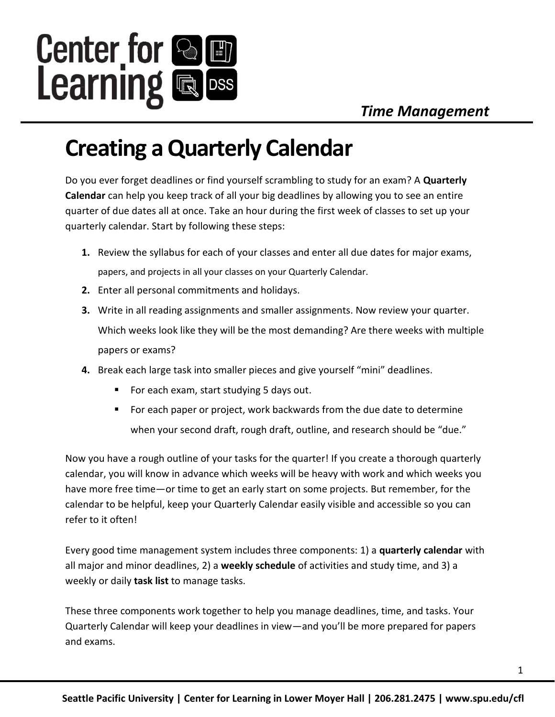

## **Creating a Quarterly Calendar**

Do you ever forget deadlines or find yourself scrambling to study for an exam? A **Quarterly Calendar** can help you keep track of all your big deadlines by allowing you to see an entire quarter of due dates all at once. Take an hour during the first week of classes to set up your quarterly calendar. Start by following these steps:

- **1.** Review the syllabus for each of your classes and enter all due dates for major exams, papers, and projects in all your classes on your Quarterly Calendar.
- **2.** Enter all personal commitments and holidays.
- **3.** Write in all reading assignments and smaller assignments. Now review your quarter. Which weeks look like they will be the most demanding? Are there weeks with multiple papers or exams?
- **4.** Break each large task into smaller pieces and give yourself "mini" deadlines.
	- For each exam, start studying 5 days out.
	- For each paper or project, work backwards from the due date to determine when your second draft, rough draft, outline, and research should be "due."

Now you have a rough outline of your tasks for the quarter! If you create a thorough quarterly calendar, you will know in advance which weeks will be heavy with work and which weeks you have more free time—or time to get an early start on some projects. But remember, for the calendar to be helpful, keep your Quarterly Calendar easily visible and accessible so you can refer to it often!

Every good time management system includes three components: 1) a **quarterly calendar** with all major and minor deadlines, 2) a **weekly schedule** of activities and study time, and 3) a weekly or daily **task list** to manage tasks.

These three components work together to help you manage deadlines, time, and tasks. Your Quarterly Calendar will keep your deadlines in view—and you'll be more prepared for papers and exams.